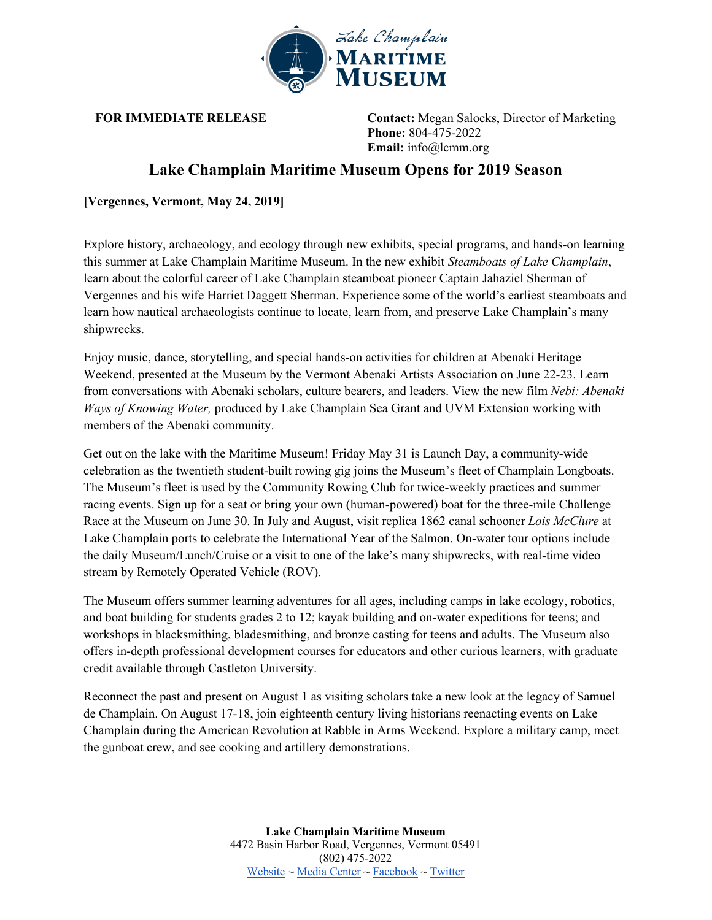

**FOR IMMEDIATE RELEASE Contact:** Megan Salocks, Director of Marketing **Phone:** 804-475-2022 **Email:** info@lcmm.org

## **Lake Champlain Maritime Museum Opens for 2019 Season**

**[Vergennes, Vermont, May 24, 2019]**

Explore history, archaeology, and ecology through new exhibits, special programs, and hands-on learning this summer at Lake Champlain Maritime Museum. In the new exhibit *Steamboats of Lake Champlain*, learn about the colorful career of Lake Champlain steamboat pioneer Captain Jahaziel Sherman of Vergennes and his wife Harriet Daggett Sherman. Experience some of the world's earliest steamboats and learn how nautical archaeologists continue to locate, learn from, and preserve Lake Champlain's many shipwrecks.

Enjoy music, dance, storytelling, and special hands-on activities for children at Abenaki Heritage Weekend, presented at the Museum by the Vermont Abenaki Artists Association on June 22-23. Learn from conversations with Abenaki scholars, culture bearers, and leaders. View the new film *Nebi: Abenaki Ways of Knowing Water,* produced by Lake Champlain Sea Grant and UVM Extension working with members of the Abenaki community.

Get out on the lake with the Maritime Museum! Friday May 31 is Launch Day, a community-wide celebration as the twentieth student-built rowing gig joins the Museum's fleet of Champlain Longboats. The Museum's fleet is used by the Community Rowing Club for twice-weekly practices and summer racing events. Sign up for a seat or bring your own (human-powered) boat for the three-mile Challenge Race at the Museum on June 30. In July and August, visit replica 1862 canal schooner *Lois McClure* at Lake Champlain ports to celebrate the International Year of the Salmon. On-water tour options include the daily Museum/Lunch/Cruise or a visit to one of the lake's many shipwrecks, with real-time video stream by Remotely Operated Vehicle (ROV).

The Museum offers summer learning adventures for all ages, including camps in lake ecology, robotics, and boat building for students grades 2 to 12; kayak building and on-water expeditions for teens; and workshops in blacksmithing, bladesmithing, and bronze casting for teens and adults. The Museum also offers in-depth professional development courses for educators and other curious learners, with graduate credit available through Castleton University.

Reconnect the past and present on August 1 as visiting scholars take a new look at the legacy of Samuel de Champlain. On August 17-18, join eighteenth century living historians reenacting events on Lake Champlain during the American Revolution at Rabble in Arms Weekend. Explore a military camp, meet the gunboat crew, and see cooking and artillery demonstrations.

> **Lake Champlain Maritime Museum** 4472 Basin Harbor Road, Vergennes, Vermont 05491 (802) 475-2022 Website  $\sim$  Media Center  $\sim$  Facebook  $\sim$  Twitter